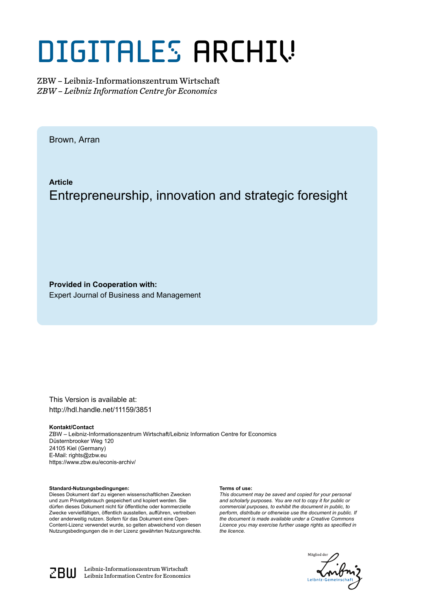# DIGITALES ARCHIV

ZBW – Leibniz-Informationszentrum Wirtschaft *ZBW – Leibniz Information Centre for Economics*

Brown, Arran

**Article** Entrepreneurship, innovation and strategic foresight

**Provided in Cooperation with:** Expert Journal of Business and Management

This Version is available at: http://hdl.handle.net/11159/3851

#### **Kontakt/Contact**

ZBW – Leibniz-Informationszentrum Wirtschaft/Leibniz Information Centre for Economics Düsternbrooker Weg 120 24105 Kiel (Germany) E-Mail: rights@zbw.eu https://www.zbw.eu/econis-archiv/

#### **Standard-Nutzungsbedingungen:**

Dieses Dokument darf zu eigenen wissenschaftlichen Zwecken und zum Privatgebrauch gespeichert und kopiert werden. Sie dürfen dieses Dokument nicht für öffentliche oder kommerzielle Zwecke vervielfältigen, öffentlich ausstellen, aufführen, vertreiben oder anderweitig nutzen. Sofern für das Dokument eine Open-Content-Lizenz verwendet wurde, so gelten abweichend von diesen Nutzungsbedingungen die in der Lizenz gewährten Nutzungsrechte.

#### **Terms of use:**

*This document may be saved and copied for your personal and scholarly purposes. You are not to copy it for public or commercial purposes, to exhibit the document in public, to perform, distribute or otherwise use the document in public. If the document is made available under a Creative Commons Licence you may exercise further usage rights as specified in the licence.*





 $\mathbb{Z} \text{B} \text{U}$  Leibniz-Informationszentrum Wirtschaft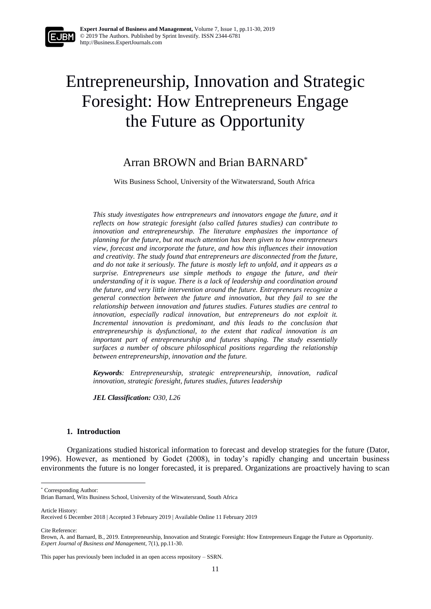# Entrepreneurship, Innovation and Strategic Foresight: How Entrepreneurs Engage the Future as Opportunity

## Arran BROWN and Brian BARNARD\*

Wits Business School, University of the Witwatersrand, South Africa

*This study investigates how entrepreneurs and innovators engage the future, and it reflects on how strategic foresight (also called futures studies) can contribute to innovation and entrepreneurship. The literature emphasizes the importance of planning for the future, but not much attention has been given to how entrepreneurs view, forecast and incorporate the future, and how this influences their innovation and creativity. The study found that entrepreneurs are disconnected from the future, and do not take it seriously. The future is mostly left to unfold, and it appears as a surprise. Entrepreneurs use simple methods to engage the future, and their understanding of it is vague. There is a lack of leadership and coordination around the future, and very little intervention around the future. Entrepreneurs recognize a general connection between the future and innovation, but they fail to see the relationship between innovation and futures studies. Futures studies are central to*  innovation, especially radical innovation, but entrepreneurs do not exploit it. *Incremental innovation is predominant, and this leads to the conclusion that entrepreneurship is dysfunctional, to the extent that radical innovation is an important part of entrepreneurship and futures shaping. The study essentially surfaces a number of obscure philosophical positions regarding the relationship between entrepreneurship, innovation and the future.*

*Keywords: Entrepreneurship, strategic entrepreneurship, innovation, radical innovation, strategic foresight, futures studies, futures leadership*

*JEL Classification: O30, L26*

#### **1. Introduction**

Organizations studied historical information to forecast and develop strategies for the future (Dator, 1996). However, as mentioned by Godet (2008), in today's rapidly changing and uncertain business environments the future is no longer forecasted, it is prepared. Organizations are proactively having to scan

\* Corresponding Author:

Article History:

<u>.</u>

Cite Reference:

Brian Barnard, Wits Business School, University of the Witwatersrand, South Africa

Received 6 December 2018 | Accepted 3 February 2019 | Available Online 11 February 2019

Brown, A. and Barnard, B., 2019. Entrepreneurship, Innovation and Strategic Foresight: How Entrepreneurs Engage the Future as Opportunity. *Expert Journal of Business and Management,* 7(1), pp.11-30.

This paper has previously been included in an open access repository – SSRN.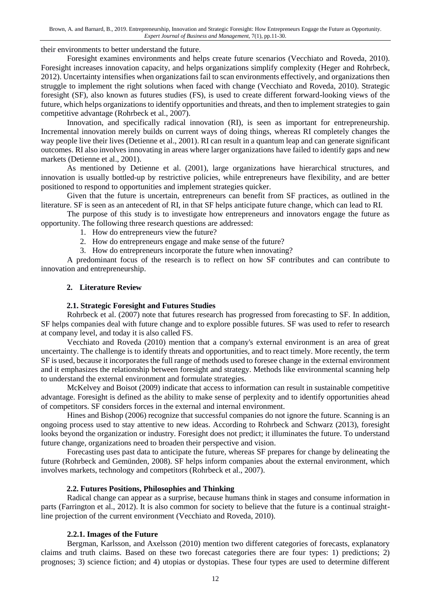their environments to better understand the future.

Foresight examines environments and helps create future scenarios (Vecchiato and Roveda, 2010). Foresight increases innovation capacity, and helps organizations simplify complexity (Heger and Rohrbeck, 2012). Uncertainty intensifies when organizations fail to scan environments effectively, and organizations then struggle to implement the right solutions when faced with change (Vecchiato and Roveda, 2010). Strategic foresight (SF), also known as futures studies (FS), is used to create different forward-looking views of the future, which helps organizations to identify opportunities and threats, and then to implement strategies to gain competitive advantage (Rohrbeck et al., 2007).

Innovation, and specifically radical innovation (RI), is seen as important for entrepreneurship. Incremental innovation merely builds on current ways of doing things, whereas RI completely changes the way people live their lives (Detienne et al., 2001). RI can result in a quantum leap and can generate significant outcomes. RI also involves innovating in areas where larger organizations have failed to identify gaps and new markets (Detienne et al., 2001).

As mentioned by Detienne et al. (2001), large organizations have hierarchical structures, and innovation is usually bottled-up by restrictive policies, while entrepreneurs have flexibility, and are better positioned to respond to opportunities and implement strategies quicker.

Given that the future is uncertain, entrepreneurs can benefit from SF practices, as outlined in the literature. SF is seen as an antecedent of RI, in that SF helps anticipate future change, which can lead to RI.

The purpose of this study is to investigate how entrepreneurs and innovators engage the future as opportunity. The following three research questions are addressed:

- 1. How do entrepreneurs view the future?
- 2. How do entrepreneurs engage and make sense of the future?
- 3. How do entrepreneurs incorporate the future when innovating?

A predominant focus of the research is to reflect on how SF contributes and can contribute to innovation and entrepreneurship.

#### **2. Literature Review**

#### **2.1. Strategic Foresight and Futures Studies**

Rohrbeck et al. (2007) note that futures research has progressed from forecasting to SF. In addition, SF helps companies deal with future change and to explore possible futures. SF was used to refer to research at company level, and today it is also called FS.

Vecchiato and Roveda (2010) mention that a company's external environment is an area of great uncertainty. The challenge is to identify threats and opportunities, and to react timely. More recently, the term SF is used, because it incorporates the full range of methods used to foresee change in the external environment and it emphasizes the relationship between foresight and strategy. Methods like environmental scanning help to understand the external environment and formulate strategies.

McKelvey and Boisot (2009) indicate that access to information can result in sustainable competitive advantage. Foresight is defined as the ability to make sense of perplexity and to identify opportunities ahead of competitors. SF considers forces in the external and internal environment.

Hines and Bishop (2006) recognize that successful companies do not ignore the future. Scanning is an ongoing process used to stay attentive to new ideas. According to Rohrbeck and Schwarz (2013), foresight looks beyond the organization or industry. Foresight does not predict; it illuminates the future. To understand future change, organizations need to broaden their perspective and vision.

Forecasting uses past data to anticipate the future, whereas SF prepares for change by delineating the future (Rohrbeck and Gemünden, 2008). SF helps inform companies about the external environment, which involves markets, technology and competitors (Rohrbeck et al., 2007).

#### **2.2. Futures Positions, Philosophies and Thinking**

Radical change can appear as a surprise, because humans think in stages and consume information in parts (Farrington et al., 2012). It is also common for society to believe that the future is a continual straightline projection of the current environment (Vecchiato and Roveda, 2010).

#### **2.2.1. Images of the Future**

Bergman, Karlsson, and Axelsson (2010) mention two different categories of forecasts, explanatory claims and truth claims. Based on these two forecast categories there are four types: 1) predictions; 2) prognoses; 3) science fiction; and 4) utopias or dystopias. These four types are used to determine different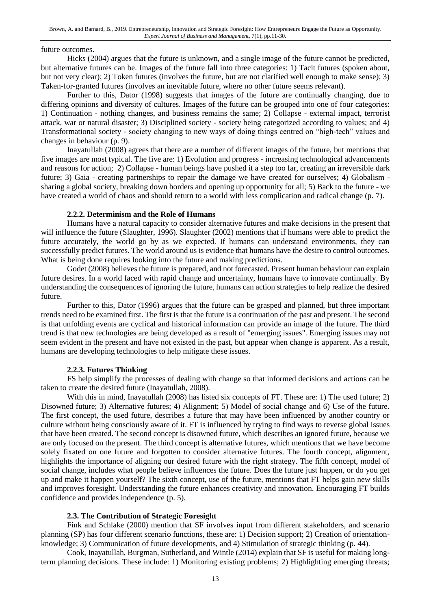#### future outcomes.

Hicks (2004) argues that the future is unknown, and a single image of the future cannot be predicted, but alternative futures can be. Images of the future fall into three categories: 1) Tacit futures (spoken about, but not very clear); 2) Token futures (involves the future, but are not clarified well enough to make sense); 3) Taken-for-granted futures (involves an inevitable future, where no other future seems relevant).

Further to this, Dator (1998) suggests that images of the future are continually changing, due to differing opinions and diversity of cultures. Images of the future can be grouped into one of four categories: 1) Continuation - nothing changes, and business remains the same; 2) Collapse - external impact, terrorist attack, war or natural disaster; 3) Disciplined society - society being categorized according to values; and 4) Transformational society - society changing to new ways of doing things centred on "high-tech" values and changes in behaviour (p. 9).

Inayatullah (2008) agrees that there are a number of different images of the future, but mentions that five images are most typical. The five are: 1) Evolution and progress - increasing technological advancements and reasons for action; 2) Collapse - human beings have pushed it a step too far, creating an irreversible dark future; 3) Gaia - creating partnerships to repair the damage we have created for ourselves; 4) Globalism sharing a global society, breaking down borders and opening up opportunity for all; 5) Back to the future - we have created a world of chaos and should return to a world with less complication and radical change (p. 7).

#### **2.2.2. Determinism and the Role of Humans**

Humans have a natural capacity to consider alternative futures and make decisions in the present that will influence the future (Slaughter, 1996). Slaughter (2002) mentions that if humans were able to predict the future accurately, the world go by as we expected. If humans can understand environments, they can successfully predict futures. The world around us is evidence that humans have the desire to control outcomes. What is being done requires looking into the future and making predictions.

Godet (2008) believes the future is prepared, and not forecasted. Present human behaviour can explain future desires. In a world faced with rapid change and uncertainty, humans have to innovate continually. By understanding the consequences of ignoring the future, humans can action strategies to help realize the desired future.

Further to this, Dator (1996) argues that the future can be grasped and planned, but three important trends need to be examined first. The first is that the future is a continuation of the past and present. The second is that unfolding events are cyclical and historical information can provide an image of the future. The third trend is that new technologies are being developed as a result of "emerging issues". Emerging issues may not seem evident in the present and have not existed in the past, but appear when change is apparent. As a result, humans are developing technologies to help mitigate these issues.

#### **2.2.3. Futures Thinking**

FS help simplify the processes of dealing with change so that informed decisions and actions can be taken to create the desired future (Inayatullah, 2008).

With this in mind, Inayatullah (2008) has listed six concepts of FT. These are: 1) The used future; 2) Disowned future; 3) Alternative futures; 4) Alignment; 5) Model of social change and 6) Use of the future. The first concept, the used future, describes a future that may have been influenced by another country or culture without being consciously aware of it. FT is influenced by trying to find ways to reverse global issues that have been created. The second concept is disowned future, which describes an ignored future, because we are only focused on the present. The third concept is alternative futures, which mentions that we have become solely fixated on one future and forgotten to consider alternative futures. The fourth concept, alignment, highlights the importance of aligning our desired future with the right strategy. The fifth concept, model of social change, includes what people believe influences the future. Does the future just happen, or do you get up and make it happen yourself? The sixth concept, use of the future, mentions that FT helps gain new skills and improves foresight. Understanding the future enhances creativity and innovation. Encouraging FT builds confidence and provides independence (p. 5).

#### **2.3. The Contribution of Strategic Foresight**

Fink and Schlake (2000) mention that SF involves input from different stakeholders, and scenario planning (SP) has four different scenario functions, these are: 1) Decision support; 2) Creation of orientationknowledge; 3) Communication of future developments, and 4) Stimulation of strategic thinking (p. 44).

Cook, Inayatullah, Burgman, Sutherland, and Wintle (2014) explain that SF is useful for making longterm planning decisions. These include: 1) Monitoring existing problems; 2) Highlighting emerging threats;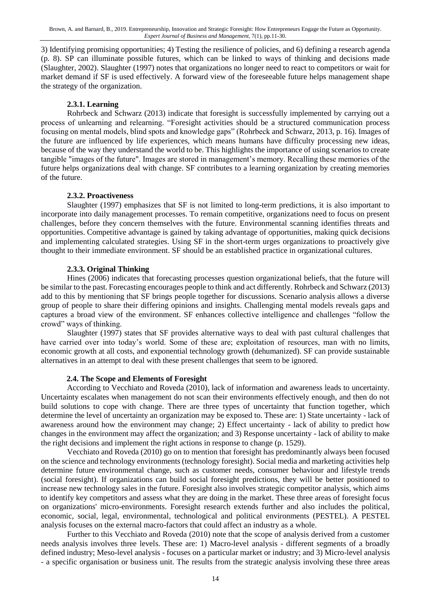3) Identifying promising opportunities; 4) Testing the resilience of policies, and 6) defining a research agenda (p. 8). SP can illuminate possible futures, which can be linked to ways of thinking and decisions made (Slaughter, 2002). Slaughter (1997) notes that organizations no longer need to react to competitors or wait for market demand if SF is used effectively. A forward view of the foreseeable future helps management shape the strategy of the organization.

#### **2.3.1. Learning**

Rohrbeck and Schwarz (2013) indicate that foresight is successfully implemented by carrying out a process of unlearning and relearning. "Foresight activities should be a structured communication process focusing on mental models, blind spots and knowledge gaps" (Rohrbeck and Schwarz, 2013, p. 16). Images of the future are influenced by life experiences, which means humans have difficulty processing new ideas, because of the way they understand the world to be. This highlights the importance of using scenarios to create tangible "images of the future". Images are stored in management's memory. Recalling these memories of the future helps organizations deal with change. SF contributes to a learning organization by creating memories of the future.

#### **2.3.2. Proactiveness**

Slaughter (1997) emphasizes that SF is not limited to long-term predictions, it is also important to incorporate into daily management processes. To remain competitive, organizations need to focus on present challenges, before they concern themselves with the future. Environmental scanning identifies threats and opportunities. Competitive advantage is gained by taking advantage of opportunities, making quick decisions and implementing calculated strategies. Using SF in the short-term urges organizations to proactively give thought to their immediate environment. SF should be an established practice in organizational cultures.

#### **2.3.3. Original Thinking**

Hines (2006) indicates that forecasting processes question organizational beliefs, that the future will be similar to the past. Forecasting encourages people to think and act differently. Rohrbeck and Schwarz (2013) add to this by mentioning that SF brings people together for discussions. Scenario analysis allows a diverse group of people to share their differing opinions and insights. Challenging mental models reveals gaps and captures a broad view of the environment. SF enhances collective intelligence and challenges "follow the crowd" ways of thinking.

Slaughter (1997) states that SF provides alternative ways to deal with past cultural challenges that have carried over into today's world. Some of these are; exploitation of resources, man with no limits, economic growth at all costs, and exponential technology growth (dehumanized). SF can provide sustainable alternatives in an attempt to deal with these present challenges that seem to be ignored.

#### **2.4. The Scope and Elements of Foresight**

According to Vecchiato and Roveda (2010), lack of information and awareness leads to uncertainty. Uncertainty escalates when management do not scan their environments effectively enough, and then do not build solutions to cope with change. There are three types of uncertainty that function together, which determine the level of uncertainty an organization may be exposed to. These are: 1) State uncertainty - lack of awareness around how the environment may change; 2) Effect uncertainty - lack of ability to predict how changes in the environment may affect the organization; and 3) Response uncertainty - lack of ability to make the right decisions and implement the right actions in response to change (p. 1529).

Vecchiato and Roveda (2010) go on to mention that foresight has predominantly always been focused on the science and technology environments (technology foresight). Social media and marketing activities help determine future environmental change, such as customer needs, consumer behaviour and lifestyle trends (social foresight). If organizations can build social foresight predictions, they will be better positioned to increase new technology sales in the future. Foresight also involves strategic competitor analysis, which aims to identify key competitors and assess what they are doing in the market. These three areas of foresight focus on organizations' micro-environments. Foresight research extends further and also includes the political, economic, social, legal, environmental, technological and political environments (PESTEL). A PESTEL analysis focuses on the external macro-factors that could affect an industry as a whole.

Further to this Vecchiato and Roveda (2010) note that the scope of analysis derived from a customer needs analysis involves three levels. These are: 1) Macro-level analysis - different segments of a broadly defined industry; Meso-level analysis - focuses on a particular market or industry; and 3) Micro-level analysis - a specific organisation or business unit. The results from the strategic analysis involving these three areas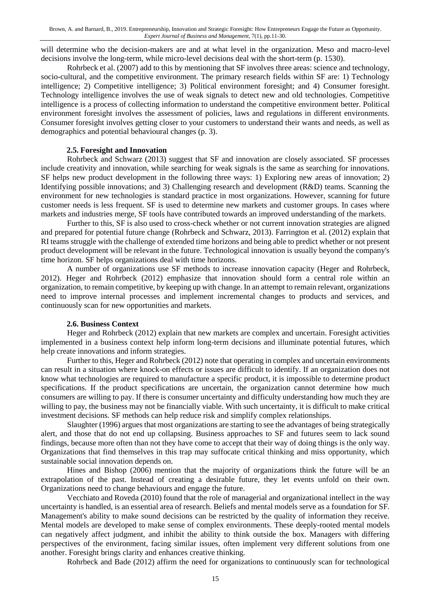will determine who the decision-makers are and at what level in the organization. Meso and macro-level decisions involve the long-term, while micro-level decisions deal with the short-term (p. 1530).

Rohrbeck et al. (2007) add to this by mentioning that SF involves three areas: science and technology, socio-cultural, and the competitive environment. The primary research fields within SF are: 1) Technology intelligence; 2) Competitive intelligence; 3) Political environment foresight; and 4) Consumer foresight. Technology intelligence involves the use of weak signals to detect new and old technologies. Competitive intelligence is a process of collecting information to understand the competitive environment better. Political environment foresight involves the assessment of policies, laws and regulations in different environments. Consumer foresight involves getting closer to your customers to understand their wants and needs, as well as demographics and potential behavioural changes (p. 3).

#### **2.5. Foresight and Innovation**

Rohrbeck and Schwarz (2013) suggest that SF and innovation are closely associated. SF processes include creativity and innovation, while searching for weak signals is the same as searching for innovations. SF helps new product development in the following three ways: 1) Exploring new areas of innovation; 2) Identifying possible innovations; and 3) Challenging research and development (R&D) teams. Scanning the environment for new technologies is standard practice in most organizations. However, scanning for future customer needs is less frequent. SF is used to determine new markets and customer groups. In cases where markets and industries merge, SF tools have contributed towards an improved understanding of the markets.

Further to this, SF is also used to cross-check whether or not current innovation strategies are aligned and prepared for potential future change (Rohrbeck and Schwarz, 2013). Farrington et al. (2012) explain that RI teams struggle with the challenge of extended time horizons and being able to predict whether or not present product development will be relevant in the future. Technological innovation is usually beyond the company's time horizon. SF helps organizations deal with time horizons.

A number of organizations use SF methods to increase innovation capacity (Heger and Rohrbeck, 2012). Heger and Rohrbeck (2012) emphasize that innovation should form a central role within an organization, to remain competitive, by keeping up with change. In an attempt to remain relevant, organizations need to improve internal processes and implement incremental changes to products and services, and continuously scan for new opportunities and markets.

#### **2.6. Business Context**

Heger and Rohrbeck (2012) explain that new markets are complex and uncertain. Foresight activities implemented in a business context help inform long-term decisions and illuminate potential futures, which help create innovations and inform strategies.

Further to this, Heger and Rohrbeck (2012) note that operating in complex and uncertain environments can result in a situation where knock-on effects or issues are difficult to identify. If an organization does not know what technologies are required to manufacture a specific product, it is impossible to determine product specifications. If the product specifications are uncertain, the organization cannot determine how much consumers are willing to pay. If there is consumer uncertainty and difficulty understanding how much they are willing to pay, the business may not be financially viable. With such uncertainty, it is difficult to make critical investment decisions. SF methods can help reduce risk and simplify complex relationships.

Slaughter (1996) argues that most organizations are starting to see the advantages of being strategically alert, and those that do not end up collapsing. Business approaches to SF and futures seem to lack sound findings, because more often than not they have come to accept that their way of doing things is the only way. Organizations that find themselves in this trap may suffocate critical thinking and miss opportunity, which sustainable social innovation depends on.

Hines and Bishop (2006) mention that the majority of organizations think the future will be an extrapolation of the past. Instead of creating a desirable future, they let events unfold on their own. Organizations need to change behaviours and engage the future.

Vecchiato and Roveda (2010) found that the role of managerial and organizational intellect in the way uncertainty is handled, is an essential area of research. Beliefs and mental models serve as a foundation for SF. Management's ability to make sound decisions can be restricted by the quality of information they receive. Mental models are developed to make sense of complex environments. These deeply-rooted mental models can negatively affect judgment, and inhibit the ability to think outside the box. Managers with differing perspectives of the environment, facing similar issues, often implement very different solutions from one another. Foresight brings clarity and enhances creative thinking.

Rohrbeck and Bade (2012) affirm the need for organizations to continuously scan for technological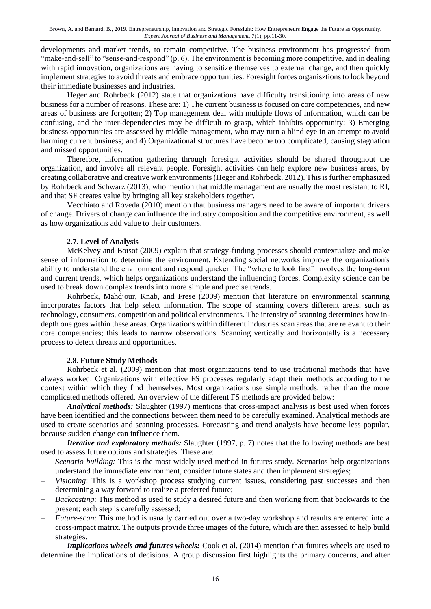developments and market trends, to remain competitive. The business environment has progressed from "make-and-sell" to "sense-and-respond" (p. 6). The environment is becoming more competitive, and in dealing with rapid innovation, organizations are having to sensitize themselves to external change, and then quickly implement strategies to avoid threats and embrace opportunities. Foresight forces organisztions to look beyond their immediate businesses and industries.

Heger and Rohrbeck (2012) state that organizations have difficulty transitioning into areas of new business for a number of reasons. These are: 1) The current business is focused on core competencies, and new areas of business are forgotten; 2) Top management deal with multiple flows of information, which can be confusing, and the inter-dependencies may be difficult to grasp, which inhibits opportunity; 3) Emerging business opportunities are assessed by middle management, who may turn a blind eye in an attempt to avoid harming current business; and 4) Organizational structures have become too complicated, causing stagnation and missed opportunities.

Therefore, information gathering through foresight activities should be shared throughout the organization, and involve all relevant people. Foresight activities can help explore new business areas, by creating collaborative and creative work environments (Heger and Rohrbeck, 2012). This is further emphasized by Rohrbeck and Schwarz (2013), who mention that middle management are usually the most resistant to RI, and that SF creates value by bringing all key stakeholders together.

Vecchiato and Roveda (2010) mention that business managers need to be aware of important drivers of change. Drivers of change can influence the industry composition and the competitive environment, as well as how organizations add value to their customers.

#### **2.7. Level of Analysis**

McKelvey and Boisot (2009) explain that strategy-finding processes should contextualize and make sense of information to determine the environment. Extending social networks improve the organization's ability to understand the environment and respond quicker. The "where to look first" involves the long-term and current trends, which helps organizations understand the influencing forces. Complexity science can be used to break down complex trends into more simple and precise trends.

Rohrbeck, Mahdjour, Knab, and Frese (2009) mention that literature on environmental scanning incorporates factors that help select information. The scope of scanning covers different areas, such as technology, consumers, competition and political environments. The intensity of scanning determines how indepth one goes within these areas. Organizations within different industries scan areas that are relevant to their core competencies; this leads to narrow observations. Scanning vertically and horizontally is a necessary process to detect threats and opportunities.

#### **2.8. Future Study Methods**

Rohrbeck et al. (2009) mention that most organizations tend to use traditional methods that have always worked. Organizations with effective FS processes regularly adapt their methods according to the context within which they find themselves. Most organizations use simple methods, rather than the more complicated methods offered. An overview of the different FS methods are provided below:

*Analytical methods:* Slaughter (1997) mentions that cross-impact analysis is best used when forces have been identified and the connections between them need to be carefully examined. Analytical methods are used to create scenarios and scanning processes. Forecasting and trend analysis have become less popular, because sudden change can influence them.

*Iterative and exploratory methods:* Slaughter (1997, p. 7) notes that the following methods are best used to assess future options and strategies. These are:

- *Scenario building:* This is the most widely used method in futures study. Scenarios help organizations understand the immediate environment, consider future states and then implement strategies;
- *Visioning*: This is a workshop process studying current issues, considering past successes and then determining a way forward to realize a preferred future;
- *Backcasting*: This method is used to study a desired future and then working from that backwards to the present; each step is carefully assessed;
- *Future*-*scan*: This method is usually carried out over a two-day workshop and results are entered into a cross-impact matrix. The outputs provide three images of the future, which are then assessed to help build strategies.

*Implications wheels and futures wheels:* Cook et al. (2014) mention that futures wheels are used to determine the implications of decisions. A group discussion first highlights the primary concerns, and after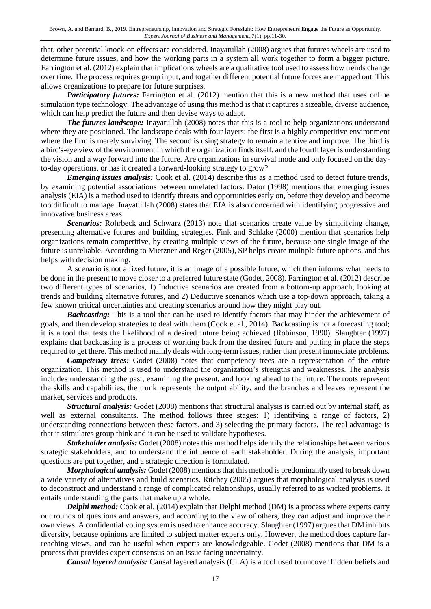that, other potential knock-on effects are considered. Inayatullah (2008) argues that futures wheels are used to determine future issues, and how the working parts in a system all work together to form a bigger picture. Farrington et al. (2012) explain that implications wheels are a qualitative tool used to assess how trends change over time. The process requires group input, and together different potential future forces are mapped out. This allows organizations to prepare for future surprises.

*Participatory futures:* Farrington et al. (2012) mention that this is a new method that uses online simulation type technology. The advantage of using this method is that it captures a sizeable, diverse audience, which can help predict the future and then devise ways to adapt.

*The futures landscape:* Inayatullah (2008) notes that this is a tool to help organizations understand where they are positioned. The landscape deals with four layers: the first is a highly competitive environment where the firm is merely surviving. The second is using strategy to remain attentive and improve. The third is a bird's-eye view of the environment in which the organization finds itself, and the fourth layer is understanding the vision and a way forward into the future. Are organizations in survival mode and only focused on the dayto-day operations, or has it created a forward-looking strategy to grow?

*Emerging issues analysis:* Cook et al. (2014) describe this as a method used to detect future trends, by examining potential associations between unrelated factors. Dator (1998) mentions that emerging issues analysis (EIA) is a method used to identify threats and opportunities early on, before they develop and become too difficult to manage. Inayatullah (2008) states that EIA is also concerned with identifying progressive and innovative business areas.

*Scenarios:* Rohrbeck and Schwarz (2013) note that scenarios create value by simplifying change, presenting alternative futures and building strategies. Fink and Schlake (2000) mention that scenarios help organizations remain competitive, by creating multiple views of the future, because one single image of the future is unreliable. According to Mietzner and Reger (2005), SP helps create multiple future options, and this helps with decision making.

A scenario is not a fixed future, it is an image of a possible future, which then informs what needs to be done in the present to move closer to a preferred future state (Godet, 2008). Farrington et al. (2012) describe two different types of scenarios, 1) Inductive scenarios are created from a bottom-up approach, looking at trends and building alternative futures, and 2) Deductive scenarios which use a top-down approach, taking a few known critical uncertainties and creating scenarios around how they might play out.

*Backcasting:* This is a tool that can be used to identify factors that may hinder the achievement of goals, and then develop strategies to deal with them (Cook et al., 2014). Backcasting is not a forecasting tool; it is a tool that tests the likelihood of a desired future being achieved (Robinson, 1990). Slaughter (1997) explains that backcasting is a process of working back from the desired future and putting in place the steps required to get there. This method mainly deals with long-term issues, rather than present immediate problems.

*Competency trees:* Godet (2008) notes that competency trees are a representation of the entire organization. This method is used to understand the organization's strengths and weaknesses. The analysis includes understanding the past, examining the present, and looking ahead to the future. The roots represent the skills and capabilities, the trunk represents the output ability, and the branches and leaves represent the market, services and products.

*Structural analysis:* Godet (2008) mentions that structural analysis is carried out by internal staff, as well as external consultants. The method follows three stages: 1) identifying a range of factors, 2) understanding connections between these factors, and 3) selecting the primary factors. The real advantage is that it stimulates group think and it can be used to validate hypotheses.

*Stakeholder analysis:* Godet (2008) notes this method helps identify the relationships between various strategic stakeholders, and to understand the influence of each stakeholder. During the analysis, important questions are put together, and a strategic direction is formulated.

*Morphological analysis:* Godet (2008) mentions that this method is predominantly used to break down a wide variety of alternatives and build scenarios. Ritchey (2005) argues that morphological analysis is used to deconstruct and understand a range of complicated relationships, usually referred to as wicked problems. It entails understanding the parts that make up a whole.

*Delphi method:* Cook et al. (2014) explain that Delphi method (DM) is a process where experts carry out rounds of questions and answers, and according to the view of others, they can adjust and improve their own views. A confidential voting system is used to enhance accuracy. Slaughter (1997) argues that DM inhibits diversity, because opinions are limited to subject matter experts only. However, the method does capture farreaching views, and can be useful when experts are knowledgeable. Godet (2008) mentions that DM is a process that provides expert consensus on an issue facing uncertainty.

*Causal layered analysis:* Causal layered analysis (CLA) is a tool used to uncover hidden beliefs and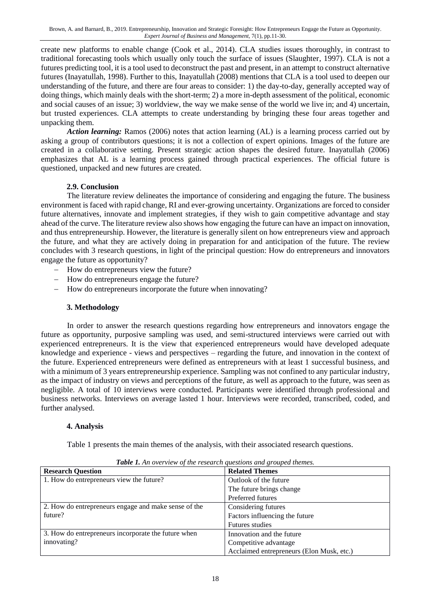create new platforms to enable change (Cook et al., 2014). CLA studies issues thoroughly, in contrast to traditional forecasting tools which usually only touch the surface of issues (Slaughter, 1997). CLA is not a futures predicting tool, it is a tool used to deconstruct the past and present, in an attempt to construct alternative futures (Inayatullah, 1998). Further to this, Inayatullah (2008) mentions that CLA is a tool used to deepen our understanding of the future, and there are four areas to consider: 1) the day-to-day, generally accepted way of doing things, which mainly deals with the short-term; 2) a more in-depth assessment of the political, economic and social causes of an issue; 3) worldview, the way we make sense of the world we live in; and 4) uncertain, but trusted experiences. CLA attempts to create understanding by bringing these four areas together and unpacking them.

*Action learning:* Ramos (2006) notes that action learning (AL) is a learning process carried out by asking a group of contributors questions; it is not a collection of expert opinions. Images of the future are created in a collaborative setting. Present strategic action shapes the desired future. Inayatullah (2006) emphasizes that AL is a learning process gained through practical experiences. The official future is questioned, unpacked and new futures are created.

#### **2.9. Conclusion**

The literature review delineates the importance of considering and engaging the future. The business environment is faced with rapid change, RI and ever-growing uncertainty. Organizations are forced to consider future alternatives, innovate and implement strategies, if they wish to gain competitive advantage and stay ahead of the curve. The literature review also shows how engaging the future can have an impact on innovation, and thus entrepreneurship. However, the literature is generally silent on how entrepreneurs view and approach the future, and what they are actively doing in preparation for and anticipation of the future. The review concludes with 3 research questions, in light of the principal question: How do entrepreneurs and innovators engage the future as opportunity?

- How do entrepreneurs view the future?
- How do entrepreneurs engage the future?
- How do entrepreneurs incorporate the future when innovating?

#### **3. Methodology**

In order to answer the research questions regarding how entrepreneurs and innovators engage the future as opportunity, purposive sampling was used, and semi-structured interviews were carried out with experienced entrepreneurs. It is the view that experienced entrepreneurs would have developed adequate knowledge and experience - views and perspectives – regarding the future, and innovation in the context of the future. Experienced entrepreneurs were defined as entrepreneurs with at least 1 successful business, and with a minimum of 3 years entrepreneurship experience. Sampling was not confined to any particular industry, as the impact of industry on views and perceptions of the future, as well as approach to the future, was seen as negligible. A total of 10 interviews were conducted. Participants were identified through professional and business networks. Interviews on average lasted 1 hour. Interviews were recorded, transcribed, coded, and further analysed.

#### **4. Analysis**

Table 1 presents the main themes of the analysis, with their associated research questions.

| <b>Research Question</b>                             | <b>Related Themes</b>                     |
|------------------------------------------------------|-------------------------------------------|
| 1. How do entrepreneurs view the future?             | Outlook of the future                     |
|                                                      | The future brings change                  |
|                                                      | Preferred futures                         |
| 2. How do entrepreneurs engage and make sense of the | Considering futures                       |
| future?                                              | Factors influencing the future            |
|                                                      | <b>Futures studies</b>                    |
| 3. How do entrepreneurs incorporate the future when  | Innovation and the future                 |
| innovating?                                          | Competitive advantage                     |
|                                                      | Acclaimed entrepreneurs (Elon Musk, etc.) |

*Table 1. An overview of the research questions and grouped themes.*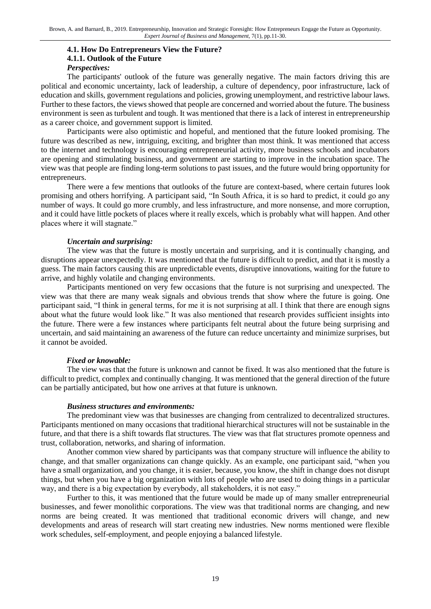#### **4.1. How Do Entrepreneurs View the Future? 4.1.1. Outlook of the Future** *Perspectives:*

The participants' outlook of the future was generally negative. The main factors driving this are political and economic uncertainty, lack of leadership, a culture of dependency, poor infrastructure, lack of education and skills, government regulations and policies, growing unemployment, and restrictive labour laws. Further to these factors, the views showed that people are concerned and worried about the future. The business environment is seen as turbulent and tough. It was mentioned that there is a lack of interest in entrepreneurship as a career choice, and government support is limited.

Participants were also optimistic and hopeful, and mentioned that the future looked promising. The future was described as new, intriguing, exciting, and brighter than most think. It was mentioned that access to the internet and technology is encouraging entrepreneurial activity, more business schools and incubators are opening and stimulating business, and government are starting to improve in the incubation space. The view was that people are finding long-term solutions to past issues, and the future would bring opportunity for entrepreneurs.

There were a few mentions that outlooks of the future are context-based, where certain futures look promising and others horrifying. A participant said, "In South Africa, it is so hard to predict, it could go any number of ways. It could go more crumbly, and less infrastructure, and more nonsense, and more corruption, and it could have little pockets of places where it really excels, which is probably what will happen. And other places where it will stagnate."

#### *Uncertain and surprising:*

The view was that the future is mostly uncertain and surprising, and it is continually changing, and disruptions appear unexpectedly. It was mentioned that the future is difficult to predict, and that it is mostly a guess. The main factors causing this are unpredictable events, disruptive innovations, waiting for the future to arrive, and highly volatile and changing environments.

Participants mentioned on very few occasions that the future is not surprising and unexpected. The view was that there are many weak signals and obvious trends that show where the future is going. One participant said, "I think in general terms, for me it is not surprising at all. I think that there are enough signs about what the future would look like." It was also mentioned that research provides sufficient insights into the future. There were a few instances where participants felt neutral about the future being surprising and uncertain, and said maintaining an awareness of the future can reduce uncertainty and minimize surprises, but it cannot be avoided.

#### *Fixed or knowable:*

The view was that the future is unknown and cannot be fixed. It was also mentioned that the future is difficult to predict, complex and continually changing. It was mentioned that the general direction of the future can be partially anticipated, but how one arrives at that future is unknown.

#### *Business structures and environments:*

The predominant view was that businesses are changing from centralized to decentralized structures. Participants mentioned on many occasions that traditional hierarchical structures will not be sustainable in the future, and that there is a shift towards flat structures. The view was that flat structures promote openness and trust, collaboration, networks, and sharing of information.

Another common view shared by participants was that company structure will influence the ability to change, and that smaller organizations can change quickly. As an example, one participant said, "when you have a small organization, and you change, it is easier, because, you know, the shift in change does not disrupt things, but when you have a big organization with lots of people who are used to doing things in a particular way, and there is a big expectation by everybody, all stakeholders, it is not easy."

Further to this, it was mentioned that the future would be made up of many smaller entrepreneurial businesses, and fewer monolithic corporations. The view was that traditional norms are changing, and new norms are being created. It was mentioned that traditional economic drivers will change, and new developments and areas of research will start creating new industries. New norms mentioned were flexible work schedules, self-employment, and people enjoying a balanced lifestyle.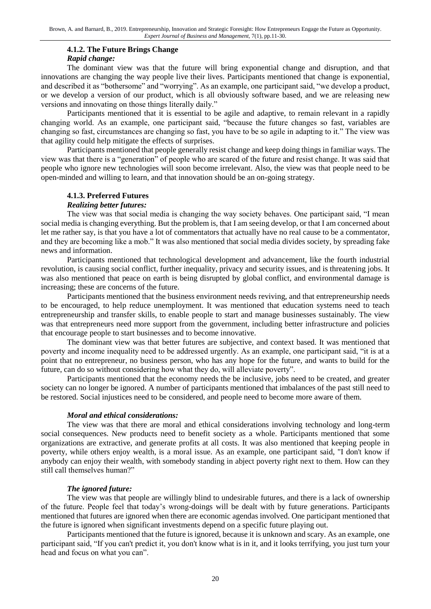#### **4.1.2. The Future Brings Change**

#### *Rapid change:*

The dominant view was that the future will bring exponential change and disruption, and that innovations are changing the way people live their lives. Participants mentioned that change is exponential, and described it as "bothersome" and "worrying". As an example, one participant said, "we develop a product, or we develop a version of our product, which is all obviously software based, and we are releasing new versions and innovating on those things literally daily."

Participants mentioned that it is essential to be agile and adaptive, to remain relevant in a rapidly changing world. As an example, one participant said, "because the future changes so fast, variables are changing so fast, circumstances are changing so fast, you have to be so agile in adapting to it." The view was that agility could help mitigate the effects of surprises.

Participants mentioned that people generally resist change and keep doing things in familiar ways. The view was that there is a "generation" of people who are scared of the future and resist change. It was said that people who ignore new technologies will soon become irrelevant. Also, the view was that people need to be open-minded and willing to learn, and that innovation should be an on-going strategy.

#### **4.1.3. Preferred Futures**

#### *Realizing better futures:*

The view was that social media is changing the way society behaves. One participant said, "I mean social media is changing everything. But the problem is, that I am seeing develop, or that I am concerned about let me rather say, is that you have a lot of commentators that actually have no real cause to be a commentator, and they are becoming like a mob." It was also mentioned that social media divides society, by spreading fake news and information.

Participants mentioned that technological development and advancement, like the fourth industrial revolution, is causing social conflict, further inequality, privacy and security issues, and is threatening jobs. It was also mentioned that peace on earth is being disrupted by global conflict, and environmental damage is increasing; these are concerns of the future.

Participants mentioned that the business environment needs reviving, and that entrepreneurship needs to be encouraged, to help reduce unemployment. It was mentioned that education systems need to teach entrepreneurship and transfer skills, to enable people to start and manage businesses sustainably. The view was that entrepreneurs need more support from the government, including better infrastructure and policies that encourage people to start businesses and to become innovative.

The dominant view was that better futures are subjective, and context based. It was mentioned that poverty and income inequality need to be addressed urgently. As an example, one participant said, "it is at a point that no entrepreneur, no business person, who has any hope for the future, and wants to build for the future, can do so without considering how what they do, will alleviate poverty".

Participants mentioned that the economy needs the be inclusive, jobs need to be created, and greater society can no longer be ignored. A number of participants mentioned that imbalances of the past still need to be restored. Social injustices need to be considered, and people need to become more aware of them.

#### *Moral and ethical considerations:*

The view was that there are moral and ethical considerations involving technology and long-term social consequences. New products need to benefit society as a whole. Participants mentioned that some organizations are extractive, and generate profits at all costs. It was also mentioned that keeping people in poverty, while others enjoy wealth, is a moral issue. As an example, one participant said, "I don't know if anybody can enjoy their wealth, with somebody standing in abject poverty right next to them. How can they still call themselves human?"

#### *The ignored future:*

The view was that people are willingly blind to undesirable futures, and there is a lack of ownership of the future. People feel that today's wrong-doings will be dealt with by future generations. Participants mentioned that futures are ignored when there are economic agendas involved. One participant mentioned that the future is ignored when significant investments depend on a specific future playing out.

Participants mentioned that the future is ignored, because it is unknown and scary. As an example, one participant said, "If you can't predict it, you don't know what is in it, and it looks terrifying, you just turn your head and focus on what you can".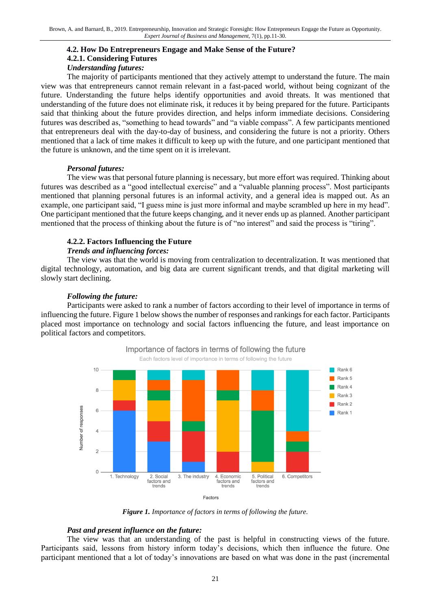#### **4.2. How Do Entrepreneurs Engage and Make Sense of the Future? 4.2.1. Considering Futures** *Understanding futures:*

The majority of participants mentioned that they actively attempt to understand the future. The main view was that entrepreneurs cannot remain relevant in a fast-paced world, without being cognizant of the future. Understanding the future helps identify opportunities and avoid threats. It was mentioned that understanding of the future does not eliminate risk, it reduces it by being prepared for the future. Participants said that thinking about the future provides direction, and helps inform immediate decisions. Considering futures was described as, "something to head towards" and "a viable compass". A few participants mentioned that entrepreneurs deal with the day-to-day of business, and considering the future is not a priority. Others mentioned that a lack of time makes it difficult to keep up with the future, and one participant mentioned that the future is unknown, and the time spent on it is irrelevant.

#### *Personal futures:*

The view was that personal future planning is necessary, but more effort was required. Thinking about futures was described as a "good intellectual exercise" and a "valuable planning process". Most participants mentioned that planning personal futures is an informal activity, and a general idea is mapped out. As an example, one participant said, "I guess mine is just more informal and maybe scrambled up here in my head". One participant mentioned that the future keeps changing, and it never ends up as planned. Another participant mentioned that the process of thinking about the future is of "no interest" and said the process is "tiring".

#### **4.2.2. Factors Influencing the Future**

#### *Trends and influencing forces:*

The view was that the world is moving from centralization to decentralization. It was mentioned that digital technology, automation, and big data are current significant trends, and that digital marketing will slowly start declining.

#### *Following the future:*

Participants were asked to rank a number of factors according to their level of importance in terms of influencing the future. Figure 1 below shows the number of responses and rankings for each factor. Participants placed most importance on technology and social factors influencing the future, and least importance on political factors and competitors.



*Figure 1. Importance of factors in terms of following the future.*

#### *Past and present influence on the future:*

The view was that an understanding of the past is helpful in constructing views of the future. Participants said, lessons from history inform today's decisions, which then influence the future. One participant mentioned that a lot of today's innovations are based on what was done in the past (incremental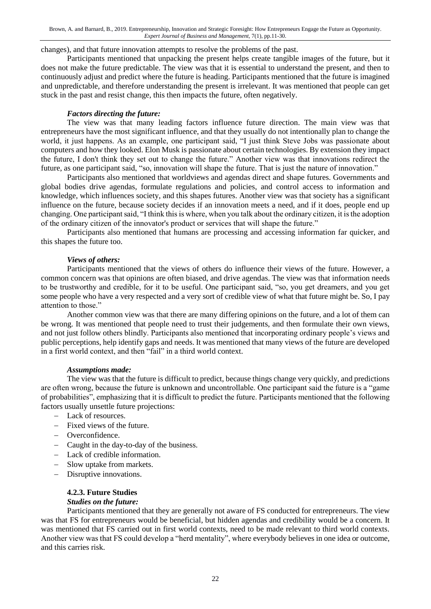changes), and that future innovation attempts to resolve the problems of the past.

Participants mentioned that unpacking the present helps create tangible images of the future, but it does not make the future predictable. The view was that it is essential to understand the present, and then to continuously adjust and predict where the future is heading. Participants mentioned that the future is imagined and unpredictable, and therefore understanding the present is irrelevant. It was mentioned that people can get stuck in the past and resist change, this then impacts the future, often negatively.

#### *Factors directing the future:*

The view was that many leading factors influence future direction. The main view was that entrepreneurs have the most significant influence, and that they usually do not intentionally plan to change the world, it just happens. As an example, one participant said, "I just think Steve Jobs was passionate about computers and how they looked. Elon Musk is passionate about certain technologies. By extension they impact the future, I don't think they set out to change the future." Another view was that innovations redirect the future, as one participant said, "so, innovation will shape the future. That is just the nature of innovation."

Participants also mentioned that worldviews and agendas direct and shape futures. Governments and global bodies drive agendas, formulate regulations and policies, and control access to information and knowledge, which influences society, and this shapes futures. Another view was that society has a significant influence on the future, because society decides if an innovation meets a need, and if it does, people end up changing. One participant said, "I think this is where, when you talk about the ordinary citizen, it is the adoption of the ordinary citizen of the innovator's product or services that will shape the future."

Participants also mentioned that humans are processing and accessing information far quicker, and this shapes the future too.

#### *Views of others:*

Participants mentioned that the views of others do influence their views of the future. However, a common concern was that opinions are often biased, and drive agendas. The view was that information needs to be trustworthy and credible, for it to be useful. One participant said, "so, you get dreamers, and you get some people who have a very respected and a very sort of credible view of what that future might be. So, I pay attention to those."

Another common view was that there are many differing opinions on the future, and a lot of them can be wrong. It was mentioned that people need to trust their judgements, and then formulate their own views, and not just follow others blindly. Participants also mentioned that incorporating ordinary people's views and public perceptions, help identify gaps and needs. It was mentioned that many views of the future are developed in a first world context, and then "fail" in a third world context.

#### *Assumptions made:*

The view was that the future is difficult to predict, because things change very quickly, and predictions are often wrong, because the future is unknown and uncontrollable. One participant said the future is a "game of probabilities", emphasizing that it is difficult to predict the future. Participants mentioned that the following factors usually unsettle future projections:

- Lack of resources.
- Fixed views of the future.
- Overconfidence.
- Caught in the day-to-day of the business.
- Lack of credible information.
- Slow uptake from markets.
- Disruptive innovations.

#### **4.2.3. Future Studies** *Studies on the future:*

Participants mentioned that they are generally not aware of FS conducted for entrepreneurs. The view was that FS for entrepreneurs would be beneficial, but hidden agendas and credibility would be a concern. It was mentioned that FS carried out in first world contexts, need to be made relevant to third world contexts. Another view was that FS could develop a "herd mentality", where everybody believes in one idea or outcome, and this carries risk.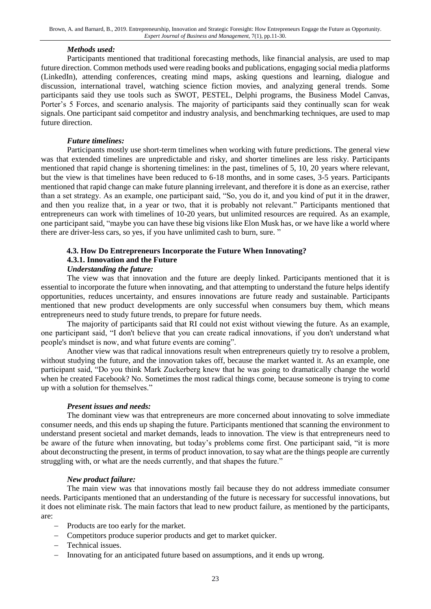#### *Methods used:*

Participants mentioned that traditional forecasting methods, like financial analysis, are used to map future direction. Common methods used were reading books and publications, engaging social media platforms (LinkedIn), attending conferences, creating mind maps, asking questions and learning, dialogue and discussion, international travel, watching science fiction movies, and analyzing general trends. Some participants said they use tools such as SWOT, PESTEL, Delphi programs, the Business Model Canvas, Porter's 5 Forces, and scenario analysis. The majority of participants said they continually scan for weak signals. One participant said competitor and industry analysis, and benchmarking techniques, are used to map future direction.

#### *Future timelines:*

Participants mostly use short-term timelines when working with future predictions. The general view was that extended timelines are unpredictable and risky, and shorter timelines are less risky. Participants mentioned that rapid change is shortening timelines: in the past, timelines of 5, 10, 20 years where relevant, but the view is that timelines have been reduced to 6-18 months, and in some cases, 3-5 years. Participants mentioned that rapid change can make future planning irrelevant, and therefore it is done as an exercise, rather than a set strategy. As an example, one participant said, "So, you do it, and you kind of put it in the drawer, and then you realize that, in a year or two, that it is probably not relevant." Participants mentioned that entrepreneurs can work with timelines of 10-20 years, but unlimited resources are required. As an example, one participant said, "maybe you can have these big visions like Elon Musk has, or we have like a world where there are driver-less cars, so yes, if you have unlimited cash to burn, sure. "

### **4.3. How Do Entrepreneurs Incorporate the Future When Innovating?**

#### **4.3.1. Innovation and the Future**

#### *Understanding the future:*

The view was that innovation and the future are deeply linked. Participants mentioned that it is essential to incorporate the future when innovating, and that attempting to understand the future helps identify opportunities, reduces uncertainty, and ensures innovations are future ready and sustainable. Participants mentioned that new product developments are only successful when consumers buy them, which means entrepreneurs need to study future trends, to prepare for future needs.

The majority of participants said that RI could not exist without viewing the future. As an example, one participant said, "I don't believe that you can create radical innovations, if you don't understand what people's mindset is now, and what future events are coming".

Another view was that radical innovations result when entrepreneurs quietly try to resolve a problem, without studying the future, and the innovation takes off, because the market wanted it. As an example, one participant said, "Do you think Mark Zuckerberg knew that he was going to dramatically change the world when he created Facebook? No. Sometimes the most radical things come, because someone is trying to come up with a solution for themselves."

#### *Present issues and needs:*

The dominant view was that entrepreneurs are more concerned about innovating to solve immediate consumer needs, and this ends up shaping the future. Participants mentioned that scanning the environment to understand present societal and market demands, leads to innovation. The view is that entrepreneurs need to be aware of the future when innovating, but today's problems come first. One participant said, "it is more about deconstructing the present, in terms of product innovation, to say what are the things people are currently struggling with, or what are the needs currently, and that shapes the future."

#### *New product failure:*

The main view was that innovations mostly fail because they do not address immediate consumer needs. Participants mentioned that an understanding of the future is necessary for successful innovations, but it does not eliminate risk. The main factors that lead to new product failure, as mentioned by the participants, are:

- Products are too early for the market.
- Competitors produce superior products and get to market quicker.
- Technical issues.
- Innovating for an anticipated future based on assumptions, and it ends up wrong.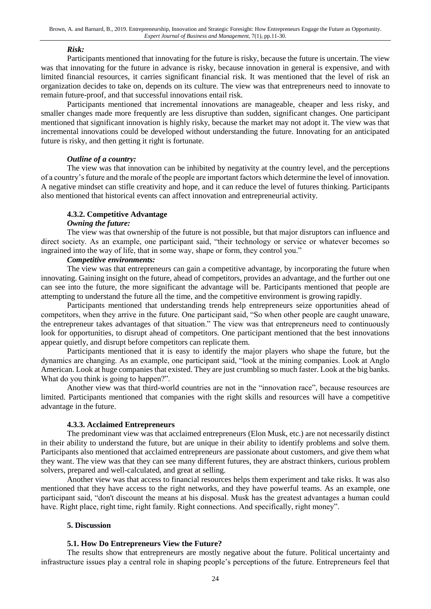#### *Risk:*

Participants mentioned that innovating for the future is risky, because the future is uncertain. The view was that innovating for the future in advance is risky, because innovation in general is expensive, and with limited financial resources, it carries significant financial risk. It was mentioned that the level of risk an organization decides to take on, depends on its culture. The view was that entrepreneurs need to innovate to remain future-proof, and that successful innovations entail risk.

Participants mentioned that incremental innovations are manageable, cheaper and less risky, and smaller changes made more frequently are less disruptive than sudden, significant changes. One participant mentioned that significant innovation is highly risky, because the market may not adopt it. The view was that incremental innovations could be developed without understanding the future. Innovating for an anticipated future is risky, and then getting it right is fortunate.

#### *Outline of a country:*

The view was that innovation can be inhibited by negativity at the country level, and the perceptions of a country's future and the morale of the people are important factors which determine the level of innovation. A negative mindset can stifle creativity and hope, and it can reduce the level of futures thinking. Participants also mentioned that historical events can affect innovation and entrepreneurial activity.

#### **4.3.2. Competitive Advantage**

#### *Owning the future:*

The view was that ownership of the future is not possible, but that major disruptors can influence and direct society. As an example, one participant said, "their technology or service or whatever becomes so ingrained into the way of life, that in some way, shape or form, they control you."

#### *Competitive environments:*

The view was that entrepreneurs can gain a competitive advantage, by incorporating the future when innovating. Gaining insight on the future, ahead of competitors, provides an advantage, and the further out one can see into the future, the more significant the advantage will be. Participants mentioned that people are attempting to understand the future all the time, and the competitive environment is growing rapidly.

Participants mentioned that understanding trends help entrepreneurs seize opportunities ahead of competitors, when they arrive in the future. One participant said, "So when other people are caught unaware, the entrepreneur takes advantages of that situation." The view was that entrepreneurs need to continuously look for opportunities, to disrupt ahead of competitors. One participant mentioned that the best innovations appear quietly, and disrupt before competitors can replicate them.

Participants mentioned that it is easy to identify the major players who shape the future, but the dynamics are changing. As an example, one participant said, "look at the mining companies. Look at Anglo American. Look at huge companies that existed. They are just crumbling so much faster. Look at the big banks. What do you think is going to happen?".

Another view was that third-world countries are not in the "innovation race", because resources are limited. Participants mentioned that companies with the right skills and resources will have a competitive advantage in the future.

#### **4.3.3. Acclaimed Entrepreneurs**

The predominant view was that acclaimed entrepreneurs (Elon Musk, etc.) are not necessarily distinct in their ability to understand the future, but are unique in their ability to identify problems and solve them. Participants also mentioned that acclaimed entrepreneurs are passionate about customers, and give them what they want. The view was that they can see many different futures, they are abstract thinkers, curious problem solvers, prepared and well-calculated, and great at selling.

Another view was that access to financial resources helps them experiment and take risks. It was also mentioned that they have access to the right networks, and they have powerful teams. As an example, one participant said, "don't discount the means at his disposal. Musk has the greatest advantages a human could have. Right place, right time, right family. Right connections. And specifically, right money".

#### **5. Discussion**

#### **5.1. How Do Entrepreneurs View the Future?**

The results show that entrepreneurs are mostly negative about the future. Political uncertainty and infrastructure issues play a central role in shaping people's perceptions of the future. Entrepreneurs feel that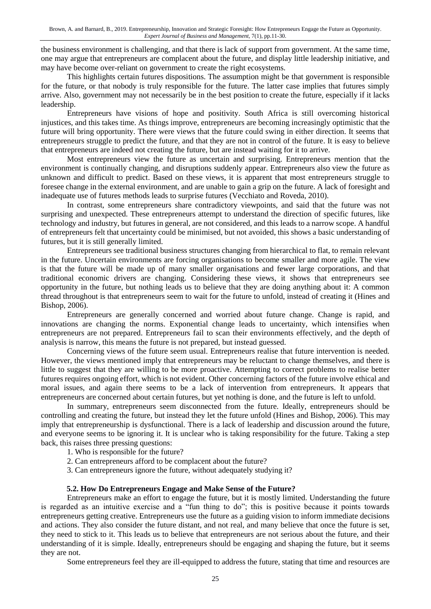the business environment is challenging, and that there is lack of support from government. At the same time, one may argue that entrepreneurs are complacent about the future, and display little leadership initiative, and may have become over-reliant on government to create the right ecosystems.

This highlights certain futures dispositions. The assumption might be that government is responsible for the future, or that nobody is truly responsible for the future. The latter case implies that futures simply arrive. Also, government may not necessarily be in the best position to create the future, especially if it lacks leadership.

Entrepreneurs have visions of hope and positivity. South Africa is still overcoming historical injustices, and this takes time. As things improve, entrepreneurs are becoming increasingly optimistic that the future will bring opportunity. There were views that the future could swing in either direction. It seems that entrepreneurs struggle to predict the future, and that they are not in control of the future. It is easy to believe that entrepreneurs are indeed not creating the future, but are instead waiting for it to arrive.

Most entrepreneurs view the future as uncertain and surprising. Entrepreneurs mention that the environment is continually changing, and disruptions suddenly appear. Entrepreneurs also view the future as unknown and difficult to predict. Based on these views, it is apparent that most entrepreneurs struggle to foresee change in the external environment, and are unable to gain a grip on the future. A lack of foresight and inadequate use of futures methods leads to surprise futures (Vecchiato and Roveda, 2010).

In contrast, some entrepreneurs share contradictory viewpoints, and said that the future was not surprising and unexpected. These entrepreneurs attempt to understand the direction of specific futures, like technology and industry, but futures in general, are not considered, and this leads to a narrow scope. A handful of entrepreneurs felt that uncertainty could be minimised, but not avoided, this shows a basic understanding of futures, but it is still generally limited.

Entrepreneurs see traditional business structures changing from hierarchical to flat, to remain relevant in the future. Uncertain environments are forcing organisations to become smaller and more agile. The view is that the future will be made up of many smaller organisations and fewer large corporations, and that traditional economic drivers are changing. Considering these views, it shows that entrepreneurs see opportunity in the future, but nothing leads us to believe that they are doing anything about it: A common thread throughout is that entrepreneurs seem to wait for the future to unfold, instead of creating it (Hines and Bishop, 2006).

Entrepreneurs are generally concerned and worried about future change. Change is rapid, and innovations are changing the norms. Exponential change leads to uncertainty, which intensifies when entrepreneurs are not prepared. Entrepreneurs fail to scan their environments effectively, and the depth of analysis is narrow, this means the future is not prepared, but instead guessed.

Concerning views of the future seem usual. Entrepreneurs realise that future intervention is needed. However, the views mentioned imply that entrepreneurs may be reluctant to change themselves, and there is little to suggest that they are willing to be more proactive. Attempting to correct problems to realise better futures requires ongoing effort, which is not evident. Other concerning factors of the future involve ethical and moral issues, and again there seems to be a lack of intervention from entrepreneurs. It appears that entrepreneurs are concerned about certain futures, but yet nothing is done, and the future is left to unfold.

In summary, entrepreneurs seem disconnected from the future. Ideally, entrepreneurs should be controlling and creating the future, but instead they let the future unfold (Hines and Bishop, 2006). This may imply that entrepreneurship is dysfunctional. There is a lack of leadership and discussion around the future, and everyone seems to be ignoring it. It is unclear who is taking responsibility for the future. Taking a step back, this raises three pressing questions:

- 1. Who is responsible for the future?
- 2. Can entrepreneurs afford to be complacent about the future?
- 3. Can entrepreneurs ignore the future, without adequately studying it?

#### **5.2. How Do Entrepreneurs Engage and Make Sense of the Future?**

Entrepreneurs make an effort to engage the future, but it is mostly limited. Understanding the future is regarded as an intuitive exercise and a "fun thing to do"; this is positive because it points towards entrepreneurs getting creative. Entrepreneurs use the future as a guiding vision to inform immediate decisions and actions. They also consider the future distant, and not real, and many believe that once the future is set, they need to stick to it. This leads us to believe that entrepreneurs are not serious about the future, and their understanding of it is simple. Ideally, entrepreneurs should be engaging and shaping the future, but it seems they are not.

Some entrepreneurs feel they are ill-equipped to address the future, stating that time and resources are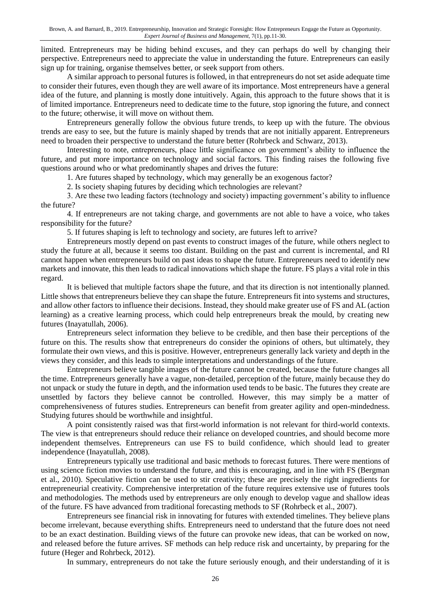limited. Entrepreneurs may be hiding behind excuses, and they can perhaps do well by changing their perspective. Entrepreneurs need to appreciate the value in understanding the future. Entrepreneurs can easily sign up for training, organise themselves better, or seek support from others.

A similar approach to personal futures is followed, in that entrepreneurs do not set aside adequate time to consider their futures, even though they are well aware of its importance. Most entrepreneurs have a general idea of the future, and planning is mostly done intuitively. Again, this approach to the future shows that it is of limited importance. Entrepreneurs need to dedicate time to the future, stop ignoring the future, and connect to the future; otherwise, it will move on without them.

Entrepreneurs generally follow the obvious future trends, to keep up with the future. The obvious trends are easy to see, but the future is mainly shaped by trends that are not initially apparent. Entrepreneurs need to broaden their perspective to understand the future better (Rohrbeck and Schwarz, 2013).

Interesting to note, entrepreneurs, place little significance on government's ability to influence the future, and put more importance on technology and social factors. This finding raises the following five questions around who or what predominantly shapes and drives the future:

1. Are futures shaped by technology, which may generally be an exogenous factor?

2. Is society shaping futures by deciding which technologies are relevant?

3. Are these two leading factors (technology and society) impacting government's ability to influence the future?

4. If entrepreneurs are not taking charge, and governments are not able to have a voice, who takes responsibility for the future?

5. If futures shaping is left to technology and society, are futures left to arrive?

Entrepreneurs mostly depend on past events to construct images of the future, while others neglect to study the future at all, because it seems too distant. Building on the past and current is incremental, and RI cannot happen when entrepreneurs build on past ideas to shape the future. Entrepreneurs need to identify new markets and innovate, this then leads to radical innovations which shape the future. FS plays a vital role in this regard.

It is believed that multiple factors shape the future, and that its direction is not intentionally planned. Little shows that entrepreneurs believe they can shape the future. Entrepreneurs fit into systems and structures, and allow other factors to influence their decisions. Instead, they should make greater use of FS and AL (action learning) as a creative learning process, which could help entrepreneurs break the mould, by creating new futures (Inayatullah, 2006).

Entrepreneurs select information they believe to be credible, and then base their perceptions of the future on this. The results show that entrepreneurs do consider the opinions of others, but ultimately, they formulate their own views, and this is positive. However, entrepreneurs generally lack variety and depth in the views they consider, and this leads to simple interpretations and understandings of the future.

Entrepreneurs believe tangible images of the future cannot be created, because the future changes all the time. Entrepreneurs generally have a vague, non-detailed, perception of the future, mainly because they do not unpack or study the future in depth, and the information used tends to be basic. The futures they create are unsettled by factors they believe cannot be controlled. However, this may simply be a matter of comprehensiveness of futures studies. Entrepreneurs can benefit from greater agility and open-mindedness. Studying futures should be worthwhile and insightful.

A point consistently raised was that first-world information is not relevant for third-world contexts. The view is that entrepreneurs should reduce their reliance on developed countries, and should become more independent themselves. Entrepreneurs can use FS to build confidence, which should lead to greater independence (Inayatullah, 2008).

Entrepreneurs typically use traditional and basic methods to forecast futures. There were mentions of using science fiction movies to understand the future, and this is encouraging, and in line with FS (Bergman et al., 2010). Speculative fiction can be used to stir creativity; these are precisely the right ingredients for entrepreneurial creativity. Comprehensive interpretation of the future requires extensive use of futures tools and methodologies. The methods used by entrepreneurs are only enough to develop vague and shallow ideas of the future. FS have advanced from traditional forecasting methods to SF (Rohrbeck et al., 2007).

Entrepreneurs see financial risk in innovating for futures with extended timelines. They believe plans become irrelevant, because everything shifts. Entrepreneurs need to understand that the future does not need to be an exact destination. Building views of the future can provoke new ideas, that can be worked on now, and released before the future arrives. SF methods can help reduce risk and uncertainty, by preparing for the future (Heger and Rohrbeck, 2012).

In summary, entrepreneurs do not take the future seriously enough, and their understanding of it is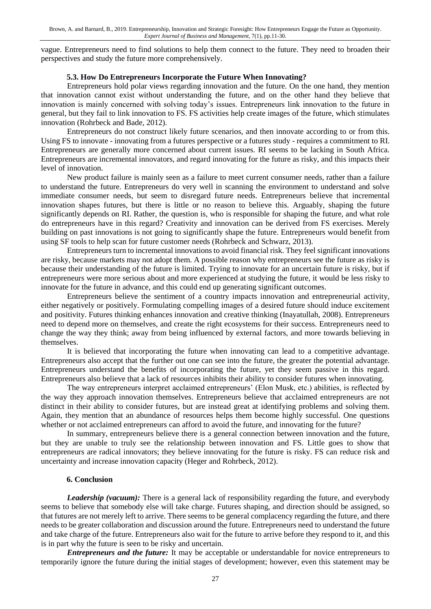vague. Entrepreneurs need to find solutions to help them connect to the future. They need to broaden their perspectives and study the future more comprehensively.

#### **5.3. How Do Entrepreneurs Incorporate the Future When Innovating?**

Entrepreneurs hold polar views regarding innovation and the future. On the one hand, they mention that innovation cannot exist without understanding the future, and on the other hand they believe that innovation is mainly concerned with solving today's issues. Entrepreneurs link innovation to the future in general, but they fail to link innovation to FS. FS activities help create images of the future, which stimulates innovation (Rohrbeck and Bade, 2012).

Entrepreneurs do not construct likely future scenarios, and then innovate according to or from this. Using FS to innovate - innovating from a futures perspective or a futures study - requires a commitment to RI. Entrepreneurs are generally more concerned about current issues. RI seems to be lacking in South Africa. Entrepreneurs are incremental innovators, and regard innovating for the future as risky, and this impacts their level of innovation.

New product failure is mainly seen as a failure to meet current consumer needs, rather than a failure to understand the future. Entrepreneurs do very well in scanning the environment to understand and solve immediate consumer needs, but seem to disregard future needs. Entrepreneurs believe that incremental innovation shapes futures, but there is little or no reason to believe this. Arguably, shaping the future significantly depends on RI. Rather, the question is, who is responsible for shaping the future, and what role do entrepreneurs have in this regard? Creativity and innovation can be derived from FS exercises. Merely building on past innovations is not going to significantly shape the future. Entrepreneurs would benefit from using SF tools to help scan for future customer needs (Rohrbeck and Schwarz, 2013).

Entrepreneurs turn to incremental innovations to avoid financial risk. They feel significant innovations are risky, because markets may not adopt them. A possible reason why entrepreneurs see the future as risky is because their understanding of the future is limited. Trying to innovate for an uncertain future is risky, but if entrepreneurs were more serious about and more experienced at studying the future, it would be less risky to innovate for the future in advance, and this could end up generating significant outcomes.

Entrepreneurs believe the sentiment of a country impacts innovation and entrepreneurial activity, either negatively or positively. Formulating compelling images of a desired future should induce excitement and positivity. Futures thinking enhances innovation and creative thinking (Inayatullah, 2008). Entrepreneurs need to depend more on themselves, and create the right ecosystems for their success. Entrepreneurs need to change the way they think; away from being influenced by external factors, and more towards believing in themselves.

It is believed that incorporating the future when innovating can lead to a competitive advantage. Entrepreneurs also accept that the further out one can see into the future, the greater the potential advantage. Entrepreneurs understand the benefits of incorporating the future, yet they seem passive in this regard. Entrepreneurs also believe that a lack of resources inhibits their ability to consider futures when innovating.

The way entrepreneurs interpret acclaimed entrepreneurs' (Elon Musk, etc.) abilities, is reflected by the way they approach innovation themselves. Entrepreneurs believe that acclaimed entrepreneurs are not distinct in their ability to consider futures, but are instead great at identifying problems and solving them. Again, they mention that an abundance of resources helps them become highly successful. One questions whether or not acclaimed entrepreneurs can afford to avoid the future, and innovating for the future?

In summary, entrepreneurs believe there is a general connection between innovation and the future, but they are unable to truly see the relationship between innovation and FS. Little goes to show that entrepreneurs are radical innovators; they believe innovating for the future is risky. FS can reduce risk and uncertainty and increase innovation capacity (Heger and Rohrbeck, 2012).

#### **6. Conclusion**

*Leadership (vacuum):* There is a general lack of responsibility regarding the future, and everybody seems to believe that somebody else will take charge. Futures shaping, and direction should be assigned, so that futures are not merely left to arrive. There seems to be general complacency regarding the future, and there needs to be greater collaboration and discussion around the future. Entrepreneurs need to understand the future and take charge of the future. Entrepreneurs also wait for the future to arrive before they respond to it, and this is in part why the future is seen to be risky and uncertain.

*Entrepreneurs and the future:* It may be acceptable or understandable for novice entrepreneurs to temporarily ignore the future during the initial stages of development; however, even this statement may be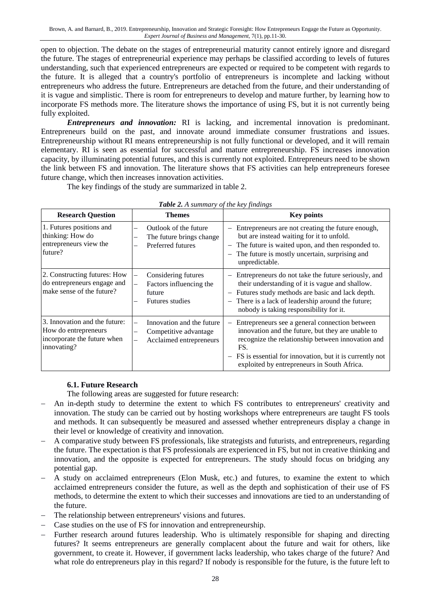Brown, A. and Barnard, B., 2019. Entrepreneurship, Innovation and Strategic Foresight: How Entrepreneurs Engage the Future as Opportunity. *Expert Journal of Business and Management,* 7(1), pp.11-30.

open to objection. The debate on the stages of entrepreneurial maturity cannot entirely ignore and disregard the future. The stages of entrepreneurial experience may perhaps be classified according to levels of futures understanding, such that experienced entrepreneurs are expected or required to be competent with regards to the future. It is alleged that a country's portfolio of entrepreneurs is incomplete and lacking without entrepreneurs who address the future. Entrepreneurs are detached from the future, and their understanding of it is vague and simplistic. There is room for entrepreneurs to develop and mature further, by learning how to incorporate FS methods more. The literature shows the importance of using FS, but it is not currently being fully exploited.

*Entrepreneurs and innovation:* RI is lacking, and incremental innovation is predominant. Entrepreneurs build on the past, and innovate around immediate consumer frustrations and issues. Entrepreneurship without RI means entrepreneurship is not fully functional or developed, and it will remain elementary. RI is seen as essential for successful and mature entrepreneurship. FS increases innovation capacity, by illuminating potential futures, and this is currently not exploited. Entrepreneurs need to be shown the link between FS and innovation. The literature shows that FS activities can help entrepreneurs foresee future change, which then increases innovation activities.

The key findings of the study are summarized in table 2.

| <b>Research Question</b>                                                                            | $\omega \nu \nu$ = $\cdots$ summarily by the new fundament<br><b>Themes</b>                                                                                       | <b>Key points</b>                                                                                                                                                                                                                                                                                              |
|-----------------------------------------------------------------------------------------------------|-------------------------------------------------------------------------------------------------------------------------------------------------------------------|----------------------------------------------------------------------------------------------------------------------------------------------------------------------------------------------------------------------------------------------------------------------------------------------------------------|
| 1. Futures positions and<br>thinking: How do<br>entrepreneurs view the<br>future?                   | Outlook of the future<br>-<br>The future brings change<br>Preferred futures                                                                                       | Entrepreneurs are not creating the future enough,<br>but are instead waiting for it to unfold.<br>The future is waited upon, and then responded to.<br>The future is mostly uncertain, surprising and<br>unpredictable.                                                                                        |
| 2. Constructing futures: How<br>do entrepreneurs engage and<br>make sense of the future?            | Considering futures<br>-<br>Factors influencing the<br>$\overline{\phantom{0}}$<br>future<br><b>Futures studies</b>                                               | Entrepreneurs do not take the future seriously, and<br>-<br>their understanding of it is vague and shallow.<br>Futures study methods are basic and lack depth.<br>$\qquad \qquad -$<br>There is a lack of leadership around the future;<br>$\overline{\phantom{m}}$<br>nobody is taking responsibility for it. |
| 3. Innovation and the future:<br>How do entrepreneurs<br>incorporate the future when<br>innovating? | Innovation and the future<br>$\overline{\phantom{0}}$<br>Competitive advantage<br>$\overline{\phantom{0}}$<br>Acclaimed entrepreneurs<br>$\overline{\phantom{0}}$ | Entrepreneurs see a general connection between<br>$\overline{\phantom{m}}$<br>innovation and the future, but they are unable to<br>recognize the relationship between innovation and<br>FS.<br>FS is essential for innovation, but it is currently not<br>exploited by entrepreneurs in South Africa.          |

*Table 2. A summary of the key findings*

#### **6.1. Future Research**

The following areas are suggested for future research:

- An in-depth study to determine the extent to which FS contributes to entrepreneurs' creativity and innovation. The study can be carried out by hosting workshops where entrepreneurs are taught FS tools and methods. It can subsequently be measured and assessed whether entrepreneurs display a change in their level or knowledge of creativity and innovation.
- A comparative study between FS professionals, like strategists and futurists, and entrepreneurs, regarding the future. The expectation is that FS professionals are experienced in FS, but not in creative thinking and innovation, and the opposite is expected for entrepreneurs. The study should focus on bridging any potential gap.
- A study on acclaimed entrepreneurs (Elon Musk, etc.) and futures, to examine the extent to which acclaimed entrepreneurs consider the future, as well as the depth and sophistication of their use of FS methods, to determine the extent to which their successes and innovations are tied to an understanding of the future.
- The relationship between entrepreneurs' visions and futures.
- Case studies on the use of FS for innovation and entrepreneurship.
- Further research around futures leadership. Who is ultimately responsible for shaping and directing futures? It seems entrepreneurs are generally complacent about the future and wait for others, like government, to create it. However, if government lacks leadership, who takes charge of the future? And what role do entrepreneurs play in this regard? If nobody is responsible for the future, is the future left to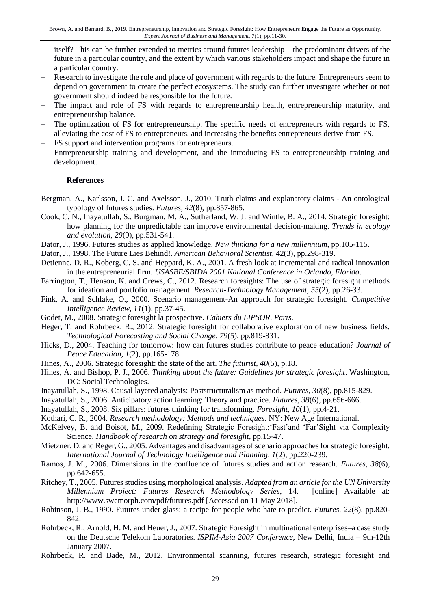itself? This can be further extended to metrics around futures leadership – the predominant drivers of the future in a particular country, and the extent by which various stakeholders impact and shape the future in a particular country.

- Research to investigate the role and place of government with regards to the future. Entrepreneurs seem to depend on government to create the perfect ecosystems. The study can further investigate whether or not government should indeed be responsible for the future.
- The impact and role of FS with regards to entrepreneurship health, entrepreneurship maturity, and entrepreneurship balance.
- The optimization of FS for entrepreneurship. The specific needs of entrepreneurs with regards to FS, alleviating the cost of FS to entrepreneurs, and increasing the benefits entrepreneurs derive from FS.
- FS support and intervention programs for entrepreneurs.
- Entrepreneurship training and development, and the introducing FS to entrepreneurship training and development.

#### **References**

- Bergman, A., Karlsson, J. C. and Axelsson, J., 2010. Truth claims and explanatory claims An ontological typology of futures studies. *Futures, 42*(8), pp.857-865.
- Cook, C. N., Inayatullah, S., Burgman, M. A., Sutherland, W. J. and Wintle, B. A., 2014. Strategic foresight: how planning for the unpredictable can improve environmental decision-making. *Trends in ecology and evolution, 29*(9), pp.531-541.
- Dator, J., 1996. Futures studies as applied knowledge. *New thinking for a new millennium*, pp.105-115.
- Dator, J., 1998. The Future Lies Behind!. *American Behavioral Scientist*, 42(3), pp.298-319.
- Detienne, D. R., Koberg, C. S. and Heppard, K. A., 2001. A fresh look at incremental and radical innovation in the entrepreneurial firm. *USASBE/SBIDA 2001 National Conference in Orlando, Florida*.
- Farrington, T., Henson, K. and Crews, C., 2012. Research foresights: The use of strategic foresight methods for ideation and portfolio management. *Research-Technology Management, 55*(2), pp.26-33.
- Fink, A. and Schlake, O., 2000. Scenario management-An approach for strategic foresight. *Competitive Intelligence Review, 11*(1), pp.37-45.
- Godet, M., 2008. Strategic foresight la prospective. *Cahiers du LIPSOR, Paris*.
- Heger, T. and Rohrbeck, R., 2012. Strategic foresight for collaborative exploration of new business fields. *Technological Forecasting and Social Change, 79*(5), pp.819-831.
- Hicks, D., 2004. Teaching for tomorrow: how can futures studies contribute to peace education? *Journal of Peace Education, 1*(2), pp.165-178.
- Hines, A., 2006. Strategic foresight: the state of the art. *The futurist, 40*(5), p.18.
- Hines, A. and Bishop, P. J., 2006. *Thinking about the future: Guidelines for strategic foresight*. Washington, DC: Social Technologies.
- Inayatullah, S., 1998. Causal layered analysis: Poststructuralism as method. *Futures, 30*(8), pp.815-829.
- Inayatullah, S., 2006. Anticipatory action learning: Theory and practice. *Futures, 38*(6), pp.656-666.
- Inayatullah, S., 2008. Six pillars: futures thinking for transforming. *Foresight, 10*(1), pp.4-21.
- Kothari, C. R., 2004. *Research methodology: Methods and techniques*. NY: New Age International.
- McKelvey, B. and Boisot, M., 2009. Redefining Strategic Foresight:'Fast'and 'Far'Sight via Complexity Science. *Handbook of research on strategy and foresight*, pp.15-47.
- Mietzner, D. and Reger, G., 2005. Advantages and disadvantages of scenario approaches for strategic foresight. *International Journal of Technology Intelligence and Planning, 1*(2), pp.220-239.
- Ramos, J. M., 2006. Dimensions in the confluence of futures studies and action research. *Futures, 38*(6), pp.642-655.
- Ritchey, T., 2005. Futures studies using morphological analysis. *Adapted from an article for the UN University Millennium Project: Futures Research Methodology Series*, 14. [online] Available at: http://www.swemorph.com/pdf/futures.pdf [Accessed on 11 May 2018].
- Robinson, J. B., 1990. Futures under glass: a recipe for people who hate to predict. *Futures, 22*(8), pp.820- 842.
- Rohrbeck, R., Arnold, H. M. and Heuer, J., 2007. Strategic Foresight in multinational enterprises–a case study on the Deutsche Telekom Laboratories. *ISPIM-Asia 2007 Conference*, New Delhi, India – 9th-12th January 2007.
- Rohrbeck, R. and Bade, M., 2012. Environmental scanning, futures research, strategic foresight and